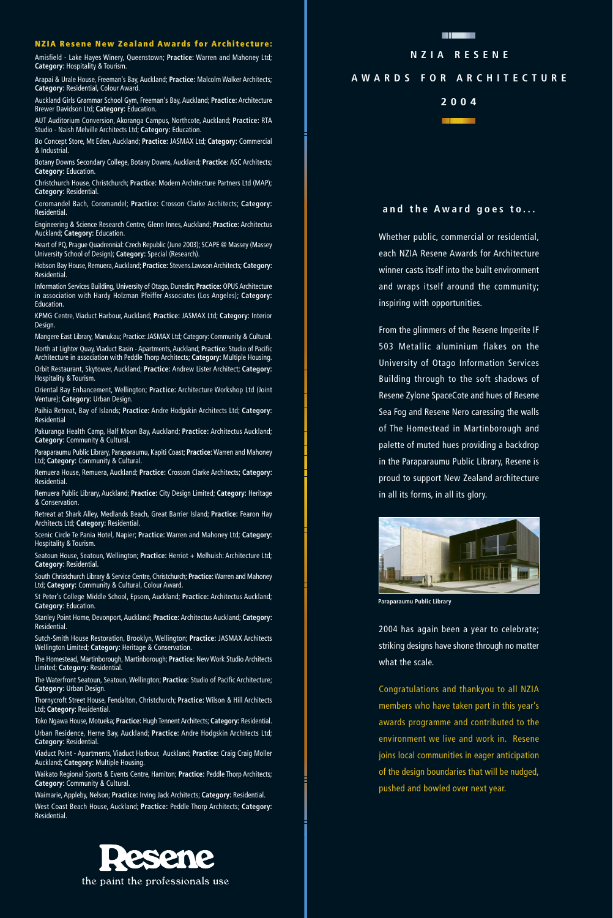## **NZIA Resene New Zealand Awards for Architecture:**

Amisfield - Lake Hayes Winery, Queenstown; **Practice:** Warren and Mahoney Ltd; **Category:** Hospitality & Tourism.

Arapai & Urale House, Freeman's Bay, Auckland; **Practice:** Malcolm Walker Architects; **Category:** Residential, Colour Award.

Auckland Girls Grammar School Gym, Freeman's Bay, Auckland; **Practice:** Architecture Brewer Davidson Ltd; **Category:** Education.

AUT Auditorium Conversion, Akoranga Campus, Northcote, Auckland; **Practice:** RTA Studio - Naish Melville Architects Ltd; **Category:** Education.

Bo Concept Store, Mt Eden, Auckland; **Practice:** JASMAX Ltd; **Category:** Commercial & Industrial.

Botany Downs Secondary College, Botany Downs, Auckland; **Practice:** ASC Architects; **Category:** Education.

Christchurch House, Christchurch; **Practice:** Modern Architecture Partners Ltd (MAP); **Category:** Residential.

Coromandel Bach, Coromandel; **Practice:** Crosson Clarke Architects; **Category:** Residential.

Engineering & Science Research Centre, Glenn Innes, Auckland; **Practice:** Architectus Auckland; **Category:** Education.

Heart of PQ, Prague Quadrennial: Czech Republic (June 2003); SCAPE @ Massey (Massey University School of Design); **Category:** Special (Research).

Hobson Bay House, Remuera, Auckland; **Practice:** Stevens.Lawson Architects; **Category: Residential** 

Information Services Building, University of Otago, Dunedin; **Practice:** OPUS Architecture in association with Hardy Holzman Pfeiffer Associates (Los Angeles); **Category: Education** 

KPMG Centre, Viaduct Harbour, Auckland; **Practice:** JASMAX Ltd; **Category:** Interior Design.

Mangere East Library, Manukau; Practice: JASMAX Ltd; Category: Community & Cultural. North at Lighter Quay, Viaduct Basin - Apartments, Auckland; **Practice:** Studio of Pacific Architecture in association with Peddle Thorp Architects; **Category:** Multiple Housing.

Orbit Restaurant, Skytower, Auckland; **Practice:** Andrew Lister Architect; **Category:** Hospitality & Tourism.

Oriental Bay Enhancement, Wellington; **Practice:** Architecture Workshop Ltd (Joint Venture); **Category:** Urban Design.

Paihia Retreat, Bay of Islands; **Practice:** Andre Hodgskin Architects Ltd; **Category:** Residential

Pakuranga Health Camp, Half Moon Bay, Auckland; **Practice:** Architectus Auckland; **Category:** Community & Cultural.

Paraparaumu Public Library, Paraparaumu, Kapiti Coast; **Practice:** Warren and Mahoney Ltd; **Category:** Community & Cultural.

Remuera House, Remuera, Auckland; **Practice:** Crosson Clarke Architects; **Category:** Residential.

Remuera Public Library, Auckland; **Practice:** City Design Limited; **Category:** Heritage & Conservation.

Retreat at Shark Alley, Medlands Beach, Great Barrier Island; **Practice:** Fearon Hay Architects Ltd; **Category:** Residential.

Scenic Circle Te Pania Hotel, Napier; **Practice:** Warren and Mahoney Ltd; **Category:** Hospitality & Tourism.

Seatoun House, Seatoun, Wellington; Practice: Herriot + Melhuish: Architecture Ltd; **Category:** Residential.

South Christchurch Library & Service Centre, Christchurch; **Practice:**Warren and Mahoney Ltd; **Category:** Community & Cultural, Colour Award.

St Peter's College Middle School, Epsom, Auckland; **Practice:** Architectus Auckland; **Category:** Education.

Stanley Point Home, Devonport, Auckland; **Practice:** Architectus Auckland; **Category:** Residential.

Sutch-Smith House Restoration, Brooklyn, Wellington; **Practice:** JASMAX Architects Wellington Limited; **Category:** Heritage & Conservation.

The Homestead, Martinborough, Martinborough; **Practice:** New Work Studio Architects Limited; **Category:** Residential.

The Waterfront Seatoun, Seatoun, Wellington; **Practice:** Studio of Pacific Architecture; **Category:** Urban Design.

Thornycroft Street House, Fendalton, Christchurch; **Practice:** Wilson & Hill Architects Ltd; **Category**: Residential.

Toko Ngawa House, Motueka; **Practice:** Hugh Tennent Architects; **Category:** Residential. Urban Residence, Herne Bay, Auckland; **Practice:** Andre Hodgskin Architects Ltd; **Category:** Residential.

Viaduct Point - Apartments, Viaduct Harbour, Auckland; **Practice:** Craig Craig Moller Auckland; **Category:** Multiple Housing.

Waikato Regional Sports & Events Centre, Hamiton; **Practice:** Peddle Thorp Architects; **Category:** Community & Cultural.

Waimarie, Appleby, Nelson; **Practice:** Irving Jack Architects; **Category:** Residential. West Coast Beach House, Auckland; **Practice:** Peddle Thorp Architects; **Category:** Residential.



## **NZIA RESENE**

## **A W ARDS FOR ARCHITECTURE**

**2004**



Whether public, commercial or residential, each NZIA Resene Awards for Architecture winner casts itself into the built environment and wraps itself around the community; inspiring with opportunities.

From the glimmers of the Resene Imperite IF 503 Metallic aluminium flakes on the University of Otago Information Services Building through to the soft shadows of Resene Zylone SpaceCote and hues of Resene Sea Fog and Resene Nero caressing the walls of The Homestead in Martinborough and palette of muted hues providing a backdrop in the Paraparaumu Public Library, Resene is proud to support New Zealand architecture in all its forms, in all its glory.



**Paraparaumu Public Library**

2004 has again been a year to celebrate; striking designs have shone through no matter what the scale.

Congratulations and thankyou to all NZIA members who have taken part in this year's awards programme and contributed to the environment we live and work in. Resene joins local communities in eager anticipation of the design boundaries that will be nudged, pushed and bowled over next year.

the paint the professionals use